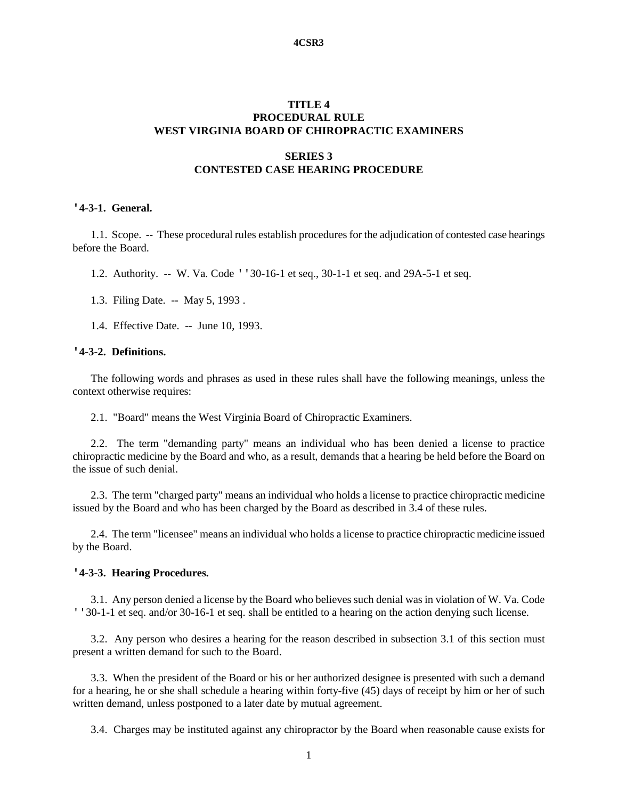#### **4CSR3**

# **TITLE 4 PROCEDURAL RULE WEST VIRGINIA BOARD OF CHIROPRACTIC EXAMINERS**

# **SERIES 3 CONTESTED CASE HEARING PROCEDURE**

#### **'4-3-1. General.**

1.1. Scope. -- These procedural rules establish procedures for the adjudication of contested case hearings before the Board.

1.2. Authority. -- W. Va. Code ''30-16-1 et seq., 30-1-1 et seq. and 29A-5-1 et seq.

- 1.3. Filing Date. -- May 5, 1993 .
- 1.4. Effective Date. -- June 10, 1993.

# **'4-3-2. Definitions.**

The following words and phrases as used in these rules shall have the following meanings, unless the context otherwise requires:

2.1. "Board" means the West Virginia Board of Chiropractic Examiners.

2.2. The term "demanding party" means an individual who has been denied a license to practice chiropractic medicine by the Board and who, as a result, demands that a hearing be held before the Board on the issue of such denial.

2.3. The term "charged party" means an individual who holds a license to practice chiropractic medicine issued by the Board and who has been charged by the Board as described in 3.4 of these rules.

2.4. The term "licensee" means an individual who holds a license to practice chiropractic medicine issued by the Board.

#### **'4-3-3. Hearing Procedures.**

3.1. Any person denied a license by the Board who believes such denial was in violation of W. Va. Code ''30-1-1 et seq. and/or 30-16-1 et seq. shall be entitled to a hearing on the action denying such license.

3.2. Any person who desires a hearing for the reason described in subsection 3.1 of this section must present a written demand for such to the Board.

3.3. When the president of the Board or his or her authorized designee is presented with such a demand for a hearing, he or she shall schedule a hearing within forty-five (45) days of receipt by him or her of such written demand, unless postponed to a later date by mutual agreement.

3.4. Charges may be instituted against any chiropractor by the Board when reasonable cause exists for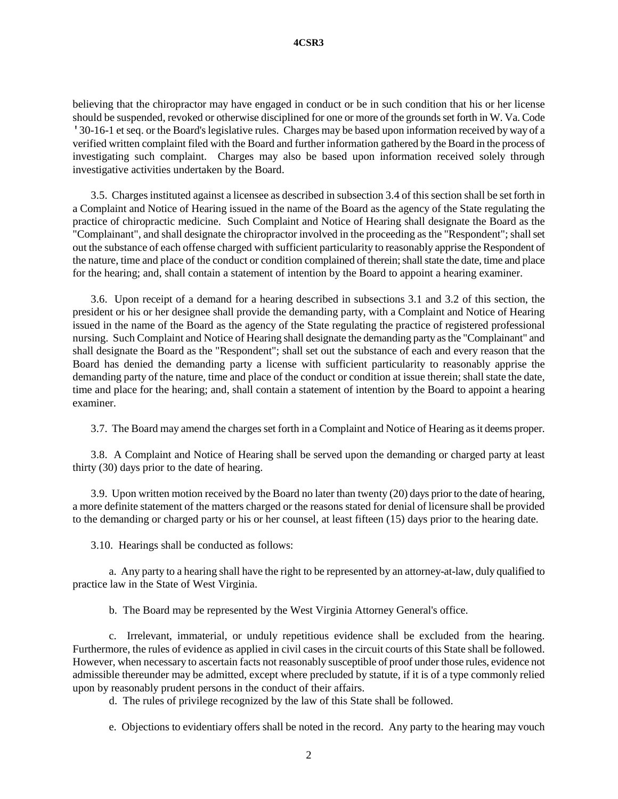believing that the chiropractor may have engaged in conduct or be in such condition that his or her license should be suspended, revoked or otherwise disciplined for one or more of the grounds set forth in W. Va. Code '30-16-1 et seq. or the Board's legislative rules. Charges may be based upon information received by way of a verified written complaint filed with the Board and further information gathered by the Board in the process of investigating such complaint. Charges may also be based upon information received solely through investigative activities undertaken by the Board.

3.5. Charges instituted against a licensee as described in subsection 3.4 of this section shall be set forth in a Complaint and Notice of Hearing issued in the name of the Board as the agency of the State regulating the practice of chiropractic medicine. Such Complaint and Notice of Hearing shall designate the Board as the "Complainant", and shall designate the chiropractor involved in the proceeding as the "Respondent"; shall set out the substance of each offense charged with sufficient particularity to reasonably apprise the Respondent of the nature, time and place of the conduct or condition complained of therein; shall state the date, time and place for the hearing; and, shall contain a statement of intention by the Board to appoint a hearing examiner.

3.6. Upon receipt of a demand for a hearing described in subsections 3.1 and 3.2 of this section, the president or his or her designee shall provide the demanding party, with a Complaint and Notice of Hearing issued in the name of the Board as the agency of the State regulating the practice of registered professional nursing. Such Complaint and Notice of Hearing shall designate the demanding party as the "Complainant" and shall designate the Board as the "Respondent"; shall set out the substance of each and every reason that the Board has denied the demanding party a license with sufficient particularity to reasonably apprise the demanding party of the nature, time and place of the conduct or condition at issue therein; shall state the date, time and place for the hearing; and, shall contain a statement of intention by the Board to appoint a hearing examiner.

3.7. The Board may amend the charges set forth in a Complaint and Notice of Hearing as it deems proper.

3.8. A Complaint and Notice of Hearing shall be served upon the demanding or charged party at least thirty (30) days prior to the date of hearing.

3.9. Upon written motion received by the Board no later than twenty (20) days prior to the date of hearing, a more definite statement of the matters charged or the reasons stated for denial of licensure shall be provided to the demanding or charged party or his or her counsel, at least fifteen (15) days prior to the hearing date.

3.10. Hearings shall be conducted as follows:

a. Any party to a hearing shall have the right to be represented by an attorney-at-law, duly qualified to practice law in the State of West Virginia.

b. The Board may be represented by the West Virginia Attorney General's office.

c. Irrelevant, immaterial, or unduly repetitious evidence shall be excluded from the hearing. Furthermore, the rules of evidence as applied in civil cases in the circuit courts of this State shall be followed. However, when necessary to ascertain facts not reasonably susceptible of proof under those rules, evidence not admissible thereunder may be admitted, except where precluded by statute, if it is of a type commonly relied upon by reasonably prudent persons in the conduct of their affairs.

d. The rules of privilege recognized by the law of this State shall be followed.

e. Objections to evidentiary offers shall be noted in the record. Any party to the hearing may vouch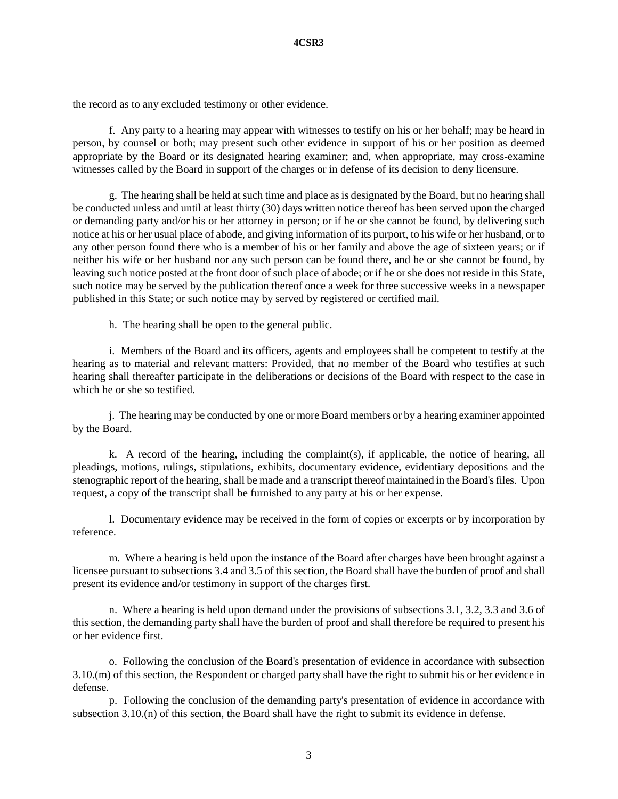the record as to any excluded testimony or other evidence.

f. Any party to a hearing may appear with witnesses to testify on his or her behalf; may be heard in person, by counsel or both; may present such other evidence in support of his or her position as deemed appropriate by the Board or its designated hearing examiner; and, when appropriate, may cross-examine witnesses called by the Board in support of the charges or in defense of its decision to deny licensure.

g. The hearing shall be held at such time and place as is designated by the Board, but no hearing shall be conducted unless and until at least thirty (30) days written notice thereof has been served upon the charged or demanding party and/or his or her attorney in person; or if he or she cannot be found, by delivering such notice at his or her usual place of abode, and giving information of its purport, to his wife or her husband, or to any other person found there who is a member of his or her family and above the age of sixteen years; or if neither his wife or her husband nor any such person can be found there, and he or she cannot be found, by leaving such notice posted at the front door of such place of abode; or if he or she does not reside in this State, such notice may be served by the publication thereof once a week for three successive weeks in a newspaper published in this State; or such notice may by served by registered or certified mail.

h. The hearing shall be open to the general public.

i. Members of the Board and its officers, agents and employees shall be competent to testify at the hearing as to material and relevant matters: Provided, that no member of the Board who testifies at such hearing shall thereafter participate in the deliberations or decisions of the Board with respect to the case in which he or she so testified.

j. The hearing may be conducted by one or more Board members or by a hearing examiner appointed by the Board.

k. A record of the hearing, including the complaint(s), if applicable, the notice of hearing, all pleadings, motions, rulings, stipulations, exhibits, documentary evidence, evidentiary depositions and the stenographic report of the hearing, shall be made and a transcript thereof maintained in the Board's files. Upon request, a copy of the transcript shall be furnished to any party at his or her expense.

l. Documentary evidence may be received in the form of copies or excerpts or by incorporation by reference.

m. Where a hearing is held upon the instance of the Board after charges have been brought against a licensee pursuant to subsections 3.4 and 3.5 of this section, the Board shall have the burden of proof and shall present its evidence and/or testimony in support of the charges first.

n. Where a hearing is held upon demand under the provisions of subsections 3.1, 3.2, 3.3 and 3.6 of this section, the demanding party shall have the burden of proof and shall therefore be required to present his or her evidence first.

o. Following the conclusion of the Board's presentation of evidence in accordance with subsection 3.10.(m) of this section, the Respondent or charged party shall have the right to submit his or her evidence in defense.

p. Following the conclusion of the demanding party's presentation of evidence in accordance with subsection 3.10.(n) of this section, the Board shall have the right to submit its evidence in defense.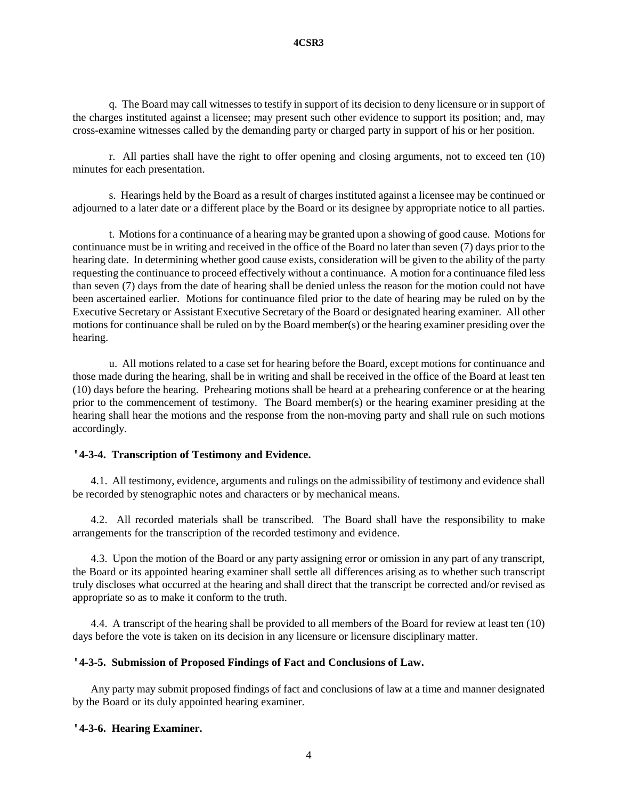q. The Board may call witnesses to testify in support of its decision to deny licensure or in support of the charges instituted against a licensee; may present such other evidence to support its position; and, may cross-examine witnesses called by the demanding party or charged party in support of his or her position.

r. All parties shall have the right to offer opening and closing arguments, not to exceed ten (10) minutes for each presentation.

s. Hearings held by the Board as a result of charges instituted against a licensee may be continued or adjourned to a later date or a different place by the Board or its designee by appropriate notice to all parties.

t. Motions for a continuance of a hearing may be granted upon a showing of good cause. Motions for continuance must be in writing and received in the office of the Board no later than seven (7) days prior to the hearing date. In determining whether good cause exists, consideration will be given to the ability of the party requesting the continuance to proceed effectively without a continuance. A motion for a continuance filed less than seven (7) days from the date of hearing shall be denied unless the reason for the motion could not have been ascertained earlier. Motions for continuance filed prior to the date of hearing may be ruled on by the Executive Secretary or Assistant Executive Secretary of the Board or designated hearing examiner. All other motions for continuance shall be ruled on by the Board member(s) or the hearing examiner presiding over the hearing.

u. All motions related to a case set for hearing before the Board, except motions for continuance and those made during the hearing, shall be in writing and shall be received in the office of the Board at least ten (10) days before the hearing. Prehearing motions shall be heard at a prehearing conference or at the hearing prior to the commencement of testimony. The Board member(s) or the hearing examiner presiding at the hearing shall hear the motions and the response from the non-moving party and shall rule on such motions accordingly.

# **'4-3-4. Transcription of Testimony and Evidence.**

4.1. All testimony, evidence, arguments and rulings on the admissibility of testimony and evidence shall be recorded by stenographic notes and characters or by mechanical means.

4.2. All recorded materials shall be transcribed. The Board shall have the responsibility to make arrangements for the transcription of the recorded testimony and evidence.

4.3. Upon the motion of the Board or any party assigning error or omission in any part of any transcript, the Board or its appointed hearing examiner shall settle all differences arising as to whether such transcript truly discloses what occurred at the hearing and shall direct that the transcript be corrected and/or revised as appropriate so as to make it conform to the truth.

4.4. A transcript of the hearing shall be provided to all members of the Board for review at least ten (10) days before the vote is taken on its decision in any licensure or licensure disciplinary matter.

### **'4-3-5. Submission of Proposed Findings of Fact and Conclusions of Law.**

Any party may submit proposed findings of fact and conclusions of law at a time and manner designated by the Board or its duly appointed hearing examiner.

### **'4-3-6. Hearing Examiner.**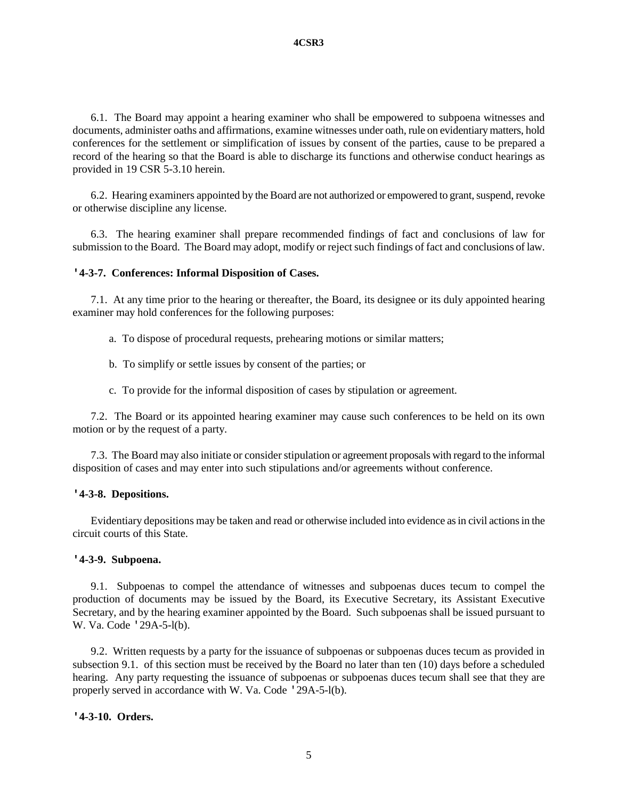6.1. The Board may appoint a hearing examiner who shall be empowered to subpoena witnesses and documents, administer oaths and affirmations, examine witnesses under oath, rule on evidentiary matters, hold conferences for the settlement or simplification of issues by consent of the parties, cause to be prepared a record of the hearing so that the Board is able to discharge its functions and otherwise conduct hearings as provided in 19 CSR 5-3.10 herein.

6.2. Hearing examiners appointed by the Board are not authorized or empowered to grant, suspend, revoke or otherwise discipline any license.

6.3. The hearing examiner shall prepare recommended findings of fact and conclusions of law for submission to the Board. The Board may adopt, modify or reject such findings of fact and conclusions of law.

### **'4-3-7. Conferences: Informal Disposition of Cases.**

7.1. At any time prior to the hearing or thereafter, the Board, its designee or its duly appointed hearing examiner may hold conferences for the following purposes:

- a. To dispose of procedural requests, prehearing motions or similar matters;
- b. To simplify or settle issues by consent of the parties; or
- c. To provide for the informal disposition of cases by stipulation or agreement.

7.2. The Board or its appointed hearing examiner may cause such conferences to be held on its own motion or by the request of a party.

7.3. The Board may also initiate or consider stipulation or agreement proposals with regard to the informal disposition of cases and may enter into such stipulations and/or agreements without conference.

## **'4-3-8. Depositions.**

Evidentiary depositions may be taken and read or otherwise included into evidence as in civil actions in the circuit courts of this State.

## **'4-3-9. Subpoena.**

9.1. Subpoenas to compel the attendance of witnesses and subpoenas duces tecum to compel the production of documents may be issued by the Board, its Executive Secretary, its Assistant Executive Secretary, and by the hearing examiner appointed by the Board. Such subpoenas shall be issued pursuant to W. Va. Code '29A-5-l(b).

9.2. Written requests by a party for the issuance of subpoenas or subpoenas duces tecum as provided in subsection 9.1. of this section must be received by the Board no later than ten (10) days before a scheduled hearing. Any party requesting the issuance of subpoenas or subpoenas duces tecum shall see that they are properly served in accordance with W. Va. Code '29A-5-l(b).

# **'4-3-10. Orders.**